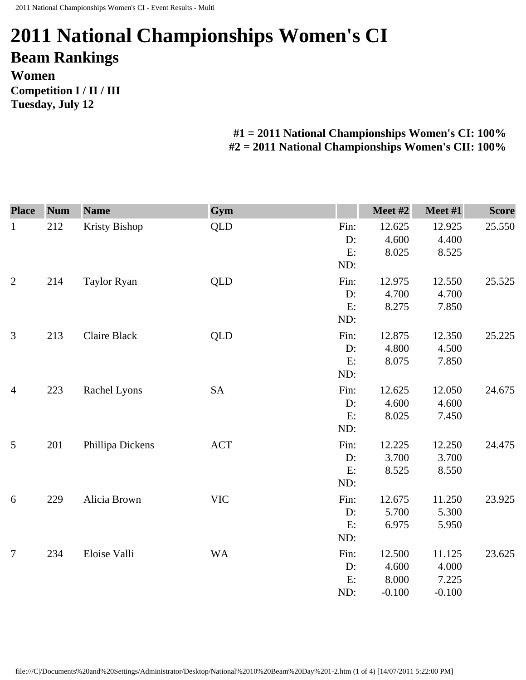## **2011 National Championships Women's CI Beam Rankings Women Competition I / II / III Tuesday, July 12**

## **#1 = 2011 National Championships Women's CI: 100% #2 = 2011 National Championships Women's CII: 100%**

| <b>Place</b>   | <b>Num</b> | <b>Name</b>          | Gym        |      | Meet #2  | Meet #1  | <b>Score</b> |
|----------------|------------|----------------------|------------|------|----------|----------|--------------|
| $\mathbf{1}$   | 212        | <b>Kristy Bishop</b> | <b>QLD</b> | Fin: | 12.625   | 12.925   | 25.550       |
|                |            |                      |            | D:   | 4.600    | 4.400    |              |
|                |            |                      |            | E:   | 8.025    | 8.525    |              |
|                |            |                      |            | ND:  |          |          |              |
| $\overline{2}$ | 214        | <b>Taylor Ryan</b>   | <b>QLD</b> | Fin: | 12.975   | 12.550   | 25.525       |
|                |            |                      |            | D:   | 4.700    | 4.700    |              |
|                |            |                      |            | E:   | 8.275    | 7.850    |              |
|                |            |                      |            | ND:  |          |          |              |
| 3              | 213        | <b>Claire Black</b>  | <b>QLD</b> | Fin: | 12.875   | 12.350   | 25.225       |
|                |            |                      |            | D:   | 4.800    | 4.500    |              |
|                |            |                      |            | E:   | 8.075    | 7.850    |              |
|                |            |                      |            | ND:  |          |          |              |
| $\overline{4}$ | 223        | Rachel Lyons         | <b>SA</b>  | Fin: | 12.625   | 12.050   | 24.675       |
|                |            |                      |            | D:   | 4.600    | 4.600    |              |
|                |            |                      |            | E:   | 8.025    | 7.450    |              |
|                |            |                      |            | ND:  |          |          |              |
| 5              | 201        | Phillipa Dickens     | <b>ACT</b> | Fin: | 12.225   | 12.250   | 24.475       |
|                |            |                      |            | D:   | 3.700    | 3.700    |              |
|                |            |                      |            | E:   | 8.525    | 8.550    |              |
|                |            |                      |            | ND:  |          |          |              |
| 6              | 229        | Alicia Brown         | <b>VIC</b> | Fin: | 12.675   | 11.250   | 23.925       |
|                |            |                      |            | D:   | 5.700    | 5.300    |              |
|                |            |                      |            | E:   | 6.975    | 5.950    |              |
|                |            |                      |            | ND:  |          |          |              |
| $\overline{7}$ | 234        | Eloise Valli         | <b>WA</b>  | Fin: | 12.500   | 11.125   | 23.625       |
|                |            |                      |            | D:   | 4.600    | 4.000    |              |
|                |            |                      |            | E:   | 8.000    | 7.225    |              |
|                |            |                      |            | ND:  | $-0.100$ | $-0.100$ |              |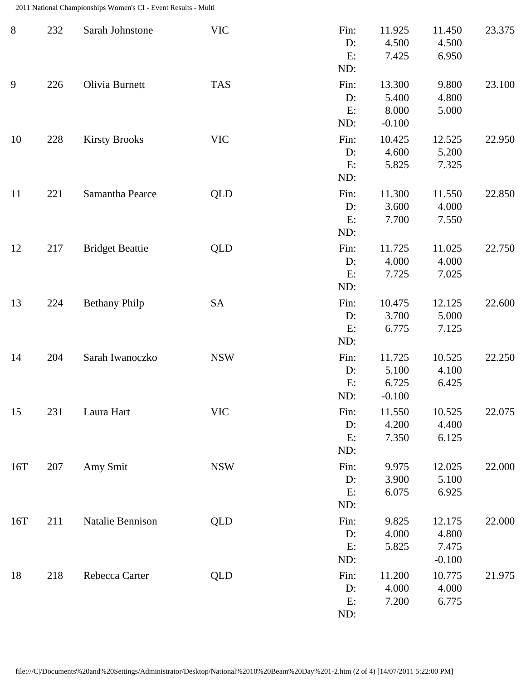2011 National Championships Women's CI - Event Results - Multi

| $8\,$ | 232 | Sarah Johnstone        | <b>VIC</b> | Fin:<br>D:<br>E:<br>ND:    | 11.925<br>4.500<br>7.425             | 11.450<br>4.500<br>6.950             | 23.375 |
|-------|-----|------------------------|------------|----------------------------|--------------------------------------|--------------------------------------|--------|
| 9     | 226 | Olivia Burnett         | <b>TAS</b> | Fin:<br>D:<br>E:<br>ND:    | 13.300<br>5.400<br>8.000<br>$-0.100$ | 9.800<br>4.800<br>5.000              | 23.100 |
| 10    | 228 | <b>Kirsty Brooks</b>   | <b>VIC</b> | Fin:<br>D:<br>E:<br>ND:    | 10.425<br>4.600<br>5.825             | 12.525<br>5.200<br>7.325             | 22.950 |
| 11    | 221 | Samantha Pearce        | <b>QLD</b> | Fin:<br>D:<br>E:<br>ND:    | 11.300<br>3.600<br>7.700             | 11.550<br>4.000<br>7.550             | 22.850 |
| 12    | 217 | <b>Bridget Beattie</b> | <b>QLD</b> | Fin:<br>D:<br>E:<br>ND:    | 11.725<br>4.000<br>7.725             | 11.025<br>4.000<br>7.025             | 22.750 |
| 13    | 224 | <b>Bethany Philp</b>   | SA         | Fin:<br>D:<br>E:<br>ND:    | 10.475<br>3.700<br>6.775             | 12.125<br>5.000<br>7.125             | 22.600 |
| 14    | 204 | Sarah Iwanoczko        | <b>NSW</b> | Fin:<br>D:<br>E:<br>ND:    | 11.725<br>5.100<br>6.725<br>$-0.100$ | 10.525<br>4.100<br>6.425             | 22.250 |
| 15    | 231 | Laura Hart             | <b>VIC</b> | Fin:<br>D:<br>E:<br>ND:    | 11.550<br>4.200<br>7.350             | 10.525<br>4.400<br>6.125             | 22.075 |
| 16T   | 207 | Amy Smit               | <b>NSW</b> | Fin:<br>$D$ :<br>E:<br>ND: | 9.975<br>3.900<br>6.075              | 12.025<br>5.100<br>6.925             | 22.000 |
| 16T   | 211 | Natalie Bennison       | <b>QLD</b> | Fin:<br>D:<br>E:<br>ND:    | 9.825<br>4.000<br>5.825              | 12.175<br>4.800<br>7.475<br>$-0.100$ | 22.000 |
| 18    | 218 | Rebecca Carter         | <b>QLD</b> | Fin:<br>D:<br>E:<br>ND:    | 11.200<br>4.000<br>7.200             | 10.775<br>4.000<br>6.775             | 21.975 |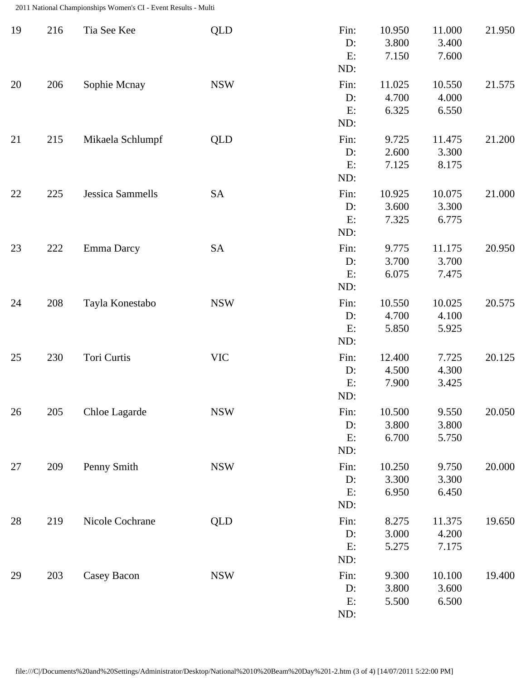2011 National Championships Women's CI - Event Results - Multi

| 19 | 216 | Tia See Kee             | <b>QLD</b> | Fin:<br>D:<br>E:<br>ND:    | 10.950<br>3.800<br>7.150 | 11.000<br>3.400<br>7.600 | 21.950 |
|----|-----|-------------------------|------------|----------------------------|--------------------------|--------------------------|--------|
| 20 | 206 | Sophie Mcnay            | <b>NSW</b> | Fin:<br>$D$ :<br>E:<br>ND: | 11.025<br>4.700<br>6.325 | 10.550<br>4.000<br>6.550 | 21.575 |
| 21 | 215 | Mikaela Schlumpf        | QLD        | Fin:<br>D:<br>E:<br>ND:    | 9.725<br>2.600<br>7.125  | 11.475<br>3.300<br>8.175 | 21.200 |
| 22 | 225 | <b>Jessica Sammells</b> | <b>SA</b>  | Fin:<br>D:<br>E:<br>ND:    | 10.925<br>3.600<br>7.325 | 10.075<br>3.300<br>6.775 | 21.000 |
| 23 | 222 | Emma Darcy              | <b>SA</b>  | Fin:<br>D:<br>E:<br>ND:    | 9.775<br>3.700<br>6.075  | 11.175<br>3.700<br>7.475 | 20.950 |
| 24 | 208 | Tayla Konestabo         | <b>NSW</b> | Fin:<br>D:<br>E:<br>ND:    | 10.550<br>4.700<br>5.850 | 10.025<br>4.100<br>5.925 | 20.575 |
| 25 | 230 | Tori Curtis             | <b>VIC</b> | Fin:<br>D:<br>E:<br>ND:    | 12.400<br>4.500<br>7.900 | 7.725<br>4.300<br>3.425  | 20.125 |
| 26 | 205 | Chloe Lagarde           | <b>NSW</b> | Fin:<br>D:<br>E:<br>ND:    | 10.500<br>3.800<br>6.700 | 9.550<br>3.800<br>5.750  | 20.050 |
| 27 | 209 | Penny Smith             | <b>NSW</b> | Fin:<br>D:<br>E:<br>ND:    | 10.250<br>3.300<br>6.950 | 9.750<br>3.300<br>6.450  | 20.000 |
| 28 | 219 | Nicole Cochrane         | QLD        | Fin:<br>D:<br>E:<br>ND:    | 8.275<br>3.000<br>5.275  | 11.375<br>4.200<br>7.175 | 19.650 |
| 29 | 203 | Casey Bacon             | <b>NSW</b> | Fin:<br>D:<br>E:<br>ND:    | 9.300<br>3.800<br>5.500  | 10.100<br>3.600<br>6.500 | 19.400 |